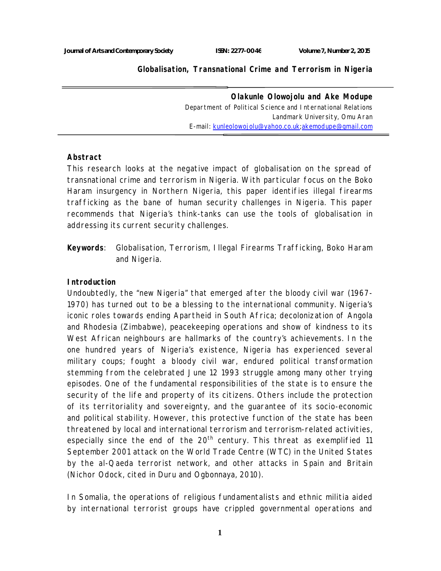**Globalisation, Transnational Crime and Terrorism in Nigeria**

**Olakunle Olowojolu and Ake Modupe**  *Department of Political Science and International Relations Landmark University, Omu Aran E-mail: kunleolowojolu@yahoo.co.uk;akemodupe@gmail.com*

#### **Abstract**

This research looks at the negative impact of globalisation on the spread of transnational crime and terrorism in Nigeria. With particular focus on the Boko Haram insurgency in Northern Nigeria, this paper identifies illegal firearms trafficking as the bane of human security challenges in Nigeria. This paper recommends that Nigeria's think-tanks can use the tools of globalisation in addressing its current security challenges.

**Keywords**: Globalisation, Terrorism, Illegal Firearms Trafficking, Boko Haram and Nigeria.

### **Introduction**

Undoubtedly, the "new Nigeria" that emerged after the bloody civil war (1967- 1970) has turned out to be a blessing to the international community. Nigeria's iconic roles towards ending Apartheid in South Africa; decolonization of Angola and Rhodesia (Zimbabwe), peacekeeping operations and show of kindness to its West African neighbours are hallmarks of the country's achievements. In the one hundred years of Nigeria's existence, Nigeria has experienced several military coups; fought a bloody civil war, endured political transformation stemming from the celebrated June 12 1993 struggle among many other trying episodes. One of the fundamental responsibilities of the state is to ensure the security of the life and property of its citizens. Others include the protection of its territoriality and sovereignty, and the guarantee of its socio-economic and political stability. However, this protective function of the state has been threatened by local and international terrorism and terrorism-related activities, especially since the end of the 20<sup>th</sup> century. This threat as exemplified 11 September 2001 attack on the World Trade Centre (WTC) in the United States by the al-Qaeda terrorist network, and other attacks in Spain and Britain (Nichor Odock, cited in Duru and Ogbonnaya, 2010).

In Somalia, the operations of religious fundamentalists and ethnic militia aided by international terrorist groups have crippled governmental operations and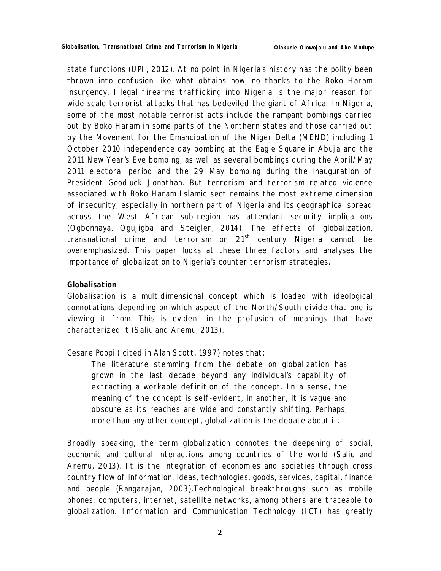state functions (UPI, 2012). At no point in Nigeria's history has the polity been thrown into confusion like what obtains now, no thanks to the Boko Haram insurgency. Illegal firearms trafficking into Nigeria is the major reason for wide scale terrorist attacks that has bedeviled the giant of Africa. In Nigeria, some of the most notable terrorist acts include the rampant bombings carried out by Boko Haram in some parts of the Northern states and those carried out by the Movement for the Emancipation of the Niger Delta (MEND) including 1 October 2010 independence day bombing at the Eagle Square in Abuja and the 2011 New Year's Eve bombing, as well as several bombings during the April/May 2011 electoral period and the 29 May bombing during the inauguration of President Goodluck Jonathan. But terrorism and terrorism related violence associated with Boko Haram Islamic sect remains the most extreme dimension of insecurity, especially in northern part of Nigeria and its geographical spread across the West African sub-region has attendant security implications (Ogbonnaya, Ogujigba and Steigler, 2014). The effects of globalization, transnational crime and terrorism on  $21<sup>st</sup>$  century Nigeria cannot be overemphasized. This paper looks at these three factors and analyses the importance of globalization to Nigeria's counter terrorism strategies.

# **Globalisation**

Globalisation is a multidimensional concept which is loaded with ideological connotations depending on which aspect of the North/South divide that one is viewing it from. This is evident in the profusion of meanings that have characterized it (Saliu and Aremu, 2013).

Cesare Poppi ( cited in Alan Scott, 1997) notes that:

*The literature stemming from the debate on globalization has grown in the last decade beyond any individual's capability of extracting a workable definition of the concept. In a sense, the meaning of the concept is self-evident, in another, it is vague and obscure as its reaches are wide and constantly shifting. Perhaps, more than any other concept, globalization is the debate about it.*

Broadly speaking, the term globalization connotes the deepening of social, economic and cultural interactions among countries of the world (Saliu and Aremu, 2013). It is the integration of economies and societies through cross country flow of information, ideas, technologies, goods, services, capital, finance and people (Rangarajan, 2003).Technological breakthroughs such as mobile phones, computers, internet, satellite networks, among others are traceable to globalization. Information and Communication Technology (ICT) has greatly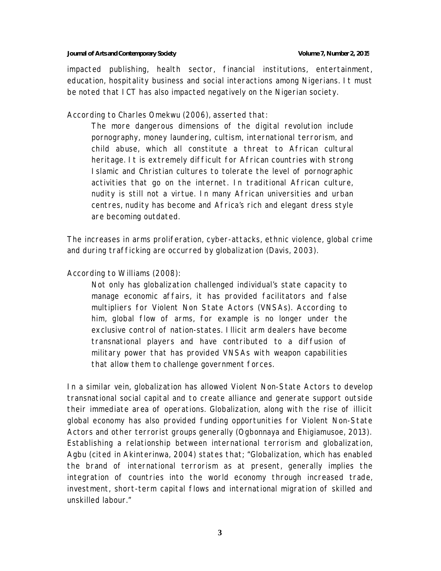#### **Journal of Arts and Contemporary Society Volume 7, Number 2, 2015**

impacted publishing, health sector, financial institutions, entertainment, education, hospitality business and social interactions among Nigerians. It must be noted that ICT has also impacted negatively on the Nigerian society.

According to Charles Omekwu (2006), asserted that:

*The more dangerous dimensions of the digital revolution include pornography, money laundering, cultism, international terrorism, and child abuse, which all constitute a threat to African cultural heritage. It is extremely difficult for African countries with strong Islamic and Christian cultures to tolerate the level of pornographic activities that go on the internet. In traditional African culture, nudity is still not a virtue. In many African universities and urban centres, nudity has become and Africa's rich and elegant dress style are becoming outdated*.

The increases in arms proliferation, cyber-attacks, ethnic violence, global crime and during trafficking are occurred by globalization (Davis, 2003).

According to Williams (2008):

*Not only has globalization challenged individual's state capacity to manage economic affairs, it has provided facilitators and false multipliers for Violent Non State Actors (VNSAs). According to him, global flow of arms, for example is no longer under the exclusive control of nation-states. Illicit arm dealers have become transnational players and have contributed to a diffusion of military power that has provided VNSAs with weapon capabilities that allow them to challenge government forces*.

In a similar vein, globalization has allowed Violent Non-State Actors to develop transnational social capital and to create alliance and generate support outside their immediate area of operations. Globalization, along with the rise of illicit global economy has also provided funding opportunities for Violent Non-State Actors and other terrorist groups generally (Ogbonnaya and Ehigiamusoe, 2013). Establishing a relationship between international terrorism and globalization, Agbu (cited in Akinterinwa, 2004) states that; "Globalization, which has enabled the brand of international terrorism as at present, generally implies the integration of countries into the world economy through increased trade, investment, short-term capital flows and international migration of skilled and unskilled labour."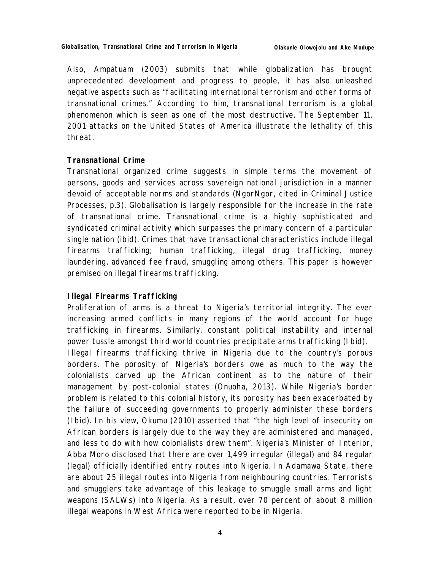Also, Ampatuam (2003) submits that while globalization has brought unprecedented development and progress to people, it has also unleashed negative aspects such as "facilitating international terrorism and other forms of transnational crimes." According to him, transnational terrorism is a global phenomenon which is seen as one of the most destructive. The September 11, 2001 attacks on the United States of America illustrate the lethality of this threat.

## **Transnational Crime**

Transnational organized crime suggests in simple terms the movement of persons, goods and services across sovereign national jurisdiction in a manner devoid of acceptable norms and standards (NgorNgor, cited in Criminal Justice Processes, p.3). Globalisation is largely responsible for the increase in the rate of transnational crime. Transnational crime is a highly sophisticated and syndicated criminal activity which surpasses the primary concern of a particular single nation (ibid). Crimes that have transactional characteristics include illegal firearms trafficking; human trafficking, illegal drug trafficking, money laundering, advanced fee fraud, smuggling among others. This paper is however premised on illegal firearms trafficking.

# **Illegal Firearms Trafficking**

Proliferation of arms is a threat to Nigeria's territorial integrity. The ever increasing armed conflicts in many regions of the world account for huge trafficking in firearms. Similarly, constant political instability and internal power tussle amongst third world countries precipitate arms trafficking (Ibid).

Illegal firearms trafficking thrive in Nigeria due to the country's porous borders. The porosity of Nigeria's borders owe as much to the way the colonialists carved up the African continent as to the nature of their management by post-colonial states (Onuoha, 2013). While Nigeria's border problem is related to this colonial history, its porosity has been exacerbated by the failure of succeeding governments to properly administer these borders (Ibid). In his view, Okumu (2010) asserted that "the high level of insecurity on African borders is largely due to the way they are administered and managed, and less to do with how colonialists drew them". Nigeria's Minister of Interior, Abba Moro disclosed that there are over 1,499 irregular (illegal) and 84 regular (legal) officially identified entry routes into Nigeria. In Adamawa State, there are about 25 illegal routes into Nigeria from neighbouring countries. Terrorists and smugglers take advantage of this leakage to smuggle small arms and light weapons (SALWs) into Nigeria. As a result, over 70 percent of about 8 million illegal weapons in West Africa were reported to be in Nigeria.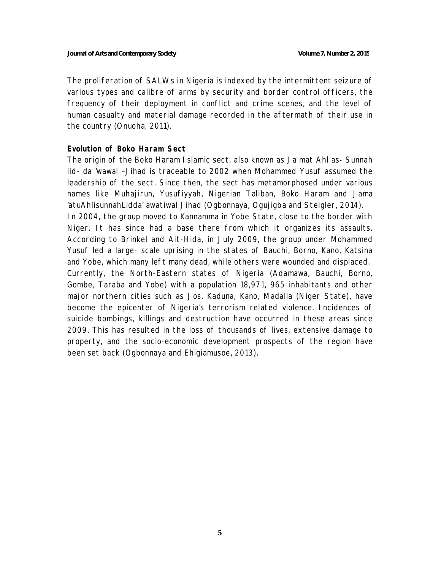The proliferation of SALWs in Nigeria is indexed by the intermittent seizure of various types and calibre of arms by security and border control officers, the frequency of their deployment in conflict and crime scenes, and the level of human casualty and material damage recorded in the aftermath of their use in the country (Onuoha, 2011).

### **Evolution of Boko Haram Sect**

The origin of the Boko Haram Islamic sect, also known as Ja mat Ahl as- Sunnah lid- da 'wawal –Jihad is traceable to 2002 when Mohammed Yusuf assumed the leadership of the sect. Since then, the sect has metamorphosed under various names like Muhajirun, Yusufiyyah, Nigerian Taliban, Boko Haram and Jama 'atuAhlisunnahLidda' awatiwal Jihad (Ogbonnaya, Ogujigba and Steigler, 2014). In 2004, the group moved to Kannamma in Yobe State, close to the border with Niger. It has since had a base there from which it organizes its assaults. According to Brinkel and Ait-Hida, in July 2009, the group under Mohammed Yusuf led a large- scale uprising in the states of Bauchi, Borno, Kano, Katsina and Yobe, which many left many dead, while others were wounded and displaced. Currently, the North-Eastern states of Nigeria (Adamawa, Bauchi, Borno, Gombe, Taraba and Yobe) with a population 18,971, 965 inhabitants and other major northern cities such as Jos, Kaduna, Kano, Madalla (Niger State), have become the epicenter of Nigeria's terrorism related violence. Incidences of suicide bombings, killings and destruction have occurred in these areas since 2009. This has resulted in the loss of thousands of lives, extensive damage to property, and the socio-economic development prospects of the region have been set back (Ogbonnaya and Ehigiamusoe, 2013).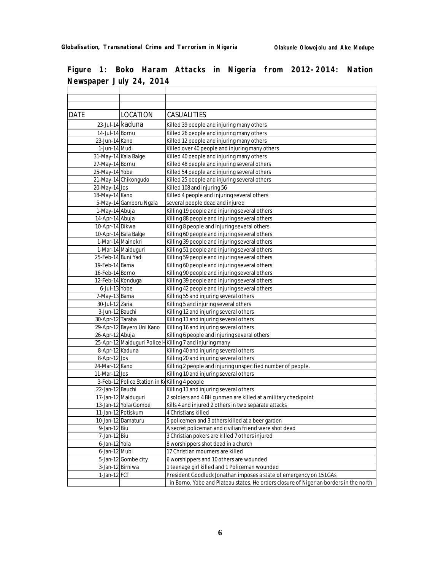| <b>DATE</b>         | LOCATION                                      | CASUALITIES                                                                           |
|---------------------|-----------------------------------------------|---------------------------------------------------------------------------------------|
|                     | 23-Jul-14 kaduna                              | Killed 39 people and injuring many others                                             |
| 14-Jul-14 Bornu     |                                               | Killed 26 people and injuring many others                                             |
| 23-Jun-14 Kano      |                                               | Killed 12 people and injuring many others                                             |
| 1-Jun-14 Mudi       |                                               | Killed over 40 people and injuring many others                                        |
|                     | 31-May-14 Kala Balge                          | Killed 40 people and injuring many others                                             |
| 27-May-14 Bornu     |                                               | Killed 48 people and injuring several others                                          |
| 25-May-14 Yobe      |                                               | Killed 54 people and injuring several others                                          |
|                     | 21-May-14 Chikongudo                          | Killed 25 people and injuring several others                                          |
| 20-May-14 Jos       |                                               | Killed 108 and injuring 56                                                            |
| 18-May-14 Kano      |                                               | Killed 4 people and injuring several others                                           |
|                     | 5-May-14 Gamboru Ngala                        | several people dead and injured                                                       |
| 1-May-14 Abuja      |                                               | Killing 19 people and injuring several others                                         |
| 14-Apr-14 Abuja     |                                               | Killing 88 people and injuring several others                                         |
| 10-Apr-14 Dikwa     |                                               | Killing 8 people and injuring several others                                          |
|                     | 10-Apr-14 Bala Balge                          | Killing 60 people and injuring several others                                         |
|                     | 1-Mar-14 Mainokri                             | Killing 39 people and injuring several others                                         |
|                     | 1-Mar-14 Maiduguri                            | Killing 51 people and injuring several others                                         |
| 25-Feb-14 Buni Yadi |                                               | Killing 59 people and injuring several others                                         |
| 19-Feb-14 Bama      |                                               | Killing 60 people and injuring several others                                         |
| 16-Feb-14 Borno     |                                               | Killing 90 people and injuring several others                                         |
| 12-Feb-14 Konduga   |                                               | Killing 39 people and injuring several others                                         |
| 6-Jul-13 Yobe       |                                               | Killing 42 people and injuring several others                                         |
| 7-May-13 Bama       |                                               | Killing 55 and injuring several others                                                |
| 30-Jul-12 Zaria     |                                               | Killing 5 and injuring several others                                                 |
| 3-Jun-12 Bauchi     |                                               | Killing 12 and injuring several others                                                |
| 30-Apr-12 Taraba    |                                               | Killing 11 and injuring several others                                                |
|                     | 29-Apr-12 Bayero Uni Kano                     | Killing 16 and injuring several others                                                |
| 26-Apr-12 Abuja     |                                               | Killing 6 people and injuring several others                                          |
|                     |                                               | 25-Apr-12 Maiduguri Police HKilling 7 and injuring many                               |
| 8-Apr-12 Kaduna     |                                               | Killing 40 and injuring several others                                                |
| 8-Apr-12 Jos        |                                               | Killing 20 and injuring several others                                                |
| 24-Mar-12 Kano      |                                               | Killing 2 people and injuring unspecified number of people.                           |
| 11-Mar-12 Jos       |                                               | Killing 10 and injuring several others                                                |
|                     | 3-Feb-12 Police Station in Kokilling 4 people |                                                                                       |
| 22-Jan-12 Bauchi    |                                               | Killing 11 and injuring several others                                                |
|                     | 17-Jan-12 Maiduguri                           | 2 soldiers and 4 BH gunmen are killed at a military checkpoint                        |
|                     | 13-Jan-12 Yola/Gombe                          | Kills 4 and injured 2 others in two separate attacks                                  |
|                     | 11-Jan-12 Potiskum                            | 4 Christians killed                                                                   |
|                     | 10-Jan-12 Damaturu                            | 5 policemen and 3 others killed at a beer garden                                      |
| 9-Jan-12 Biu        |                                               | A secret policeman and civilian friend were shot dead                                 |
| 7-Jan-12 Biu        |                                               | 3 Christian pokers are killed 7 others injured                                        |
| 6-Jan-12 Yola       |                                               | 8 worshippers shot dead in a church                                                   |
| 6-Jan-12 Mubi       |                                               | 17 Christian mourners are killed                                                      |
|                     | 5-Jan-12 Gombe city                           | 6 worshippers and 10 others are wounded                                               |
|                     | 3-Jan-12 Birniwa                              | 1 teenage girl killed and 1 Policeman wounded                                         |
| 1-Jan-12 FCT        |                                               | President Goodluck Jonathan imposes a state of emergency on 15 LGAs                   |
|                     |                                               | in Borno, Yobe and Plateau states. He orders closure of Nigerian borders in the north |

**Figure 1: Boko Haram Attacks in Nigeria from 2012-2014: Nation Newspaper July 24, 2014**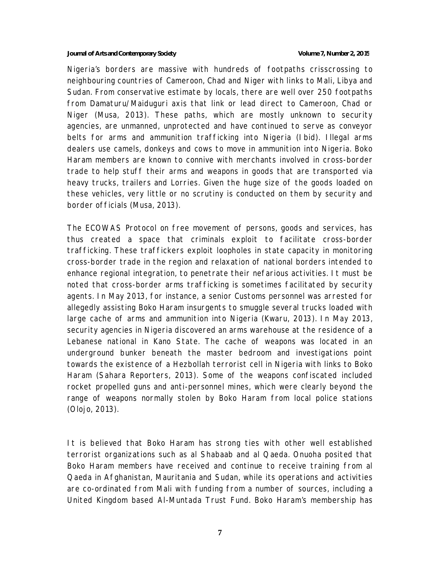#### **Journal of Arts and Contemporary Society Volume 7, Number 2, 2015**

Nigeria's borders are massive with hundreds of footpaths crisscrossing to neighbouring countries of Cameroon, Chad and Niger with links to Mali, Libya and Sudan. From conservative estimate by locals, there are well over 250 footpaths from Damaturu/Maiduguri axis that link or lead direct to Cameroon, Chad or Niger (Musa, 2013). These paths, which are mostly unknown to security agencies, are unmanned, unprotected and have continued to serve as conveyor belts for arms and ammunition trafficking into Nigeria (Ibid). Illegal arms dealers use camels, donkeys and cows to move in ammunition into Nigeria. Boko Haram members are known to connive with merchants involved in cross-border trade to help stuff their arms and weapons in goods that are transported via heavy trucks, trailers and Lorries. Given the huge size of the goods loaded on these vehicles, very little or no scrutiny is conducted on them by security and border officials (Musa, 2013).

The ECOWAS Protocol on free movement of persons, goods and services, has thus created a space that criminals exploit to facilitate cross-border trafficking. These traffickers exploit loopholes in state capacity in monitoring cross-border trade in the region and relaxation of national borders intended to enhance regional integration, to penetrate their nefarious activities. It must be noted that cross-border arms trafficking is sometimes facilitated by security agents. In May 2013, for instance, a senior Customs personnel was arrested for allegedly assisting Boko Haram insurgents to smuggle several trucks loaded with large cache of arms and ammunition into Nigeria (Kwaru, 2013). In May 2013, security agencies in Nigeria discovered an arms warehouse at the residence of a Lebanese national in Kano State. The cache of weapons was located in an underground bunker beneath the master bedroom and investigations point towards the existence of a Hezbollah terrorist cell in Nigeria with links to Boko Haram (Sahara Reporters, 2013). Some of the weapons confiscated included rocket propelled guns and anti-personnel mines, which were clearly beyond the range of weapons normally stolen by Boko Haram from local police stations (Olojo, 2013).

It is believed that Boko Haram has strong ties with other well established terrorist organizations such as al Shabaab and al Qaeda. Onuoha posited that Boko Haram members have received and continue to receive training from al Qaeda in Afghanistan, Mauritania and Sudan, while its operations and activities are co-ordinated from Mali with funding from a number of sources, including a United Kingdom based Al-Muntada Trust Fund. Boko Haram's membership has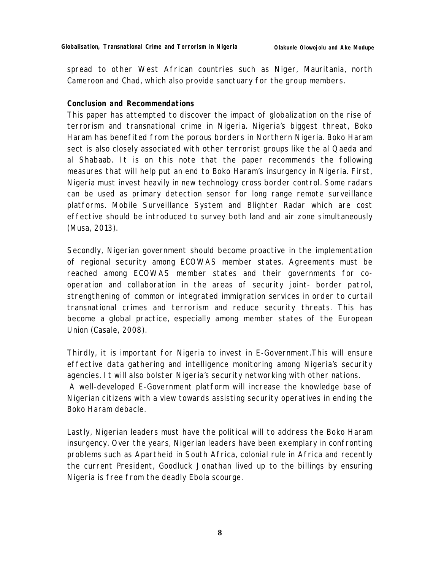spread to other West African countries such as Niger, Mauritania, north Cameroon and Chad, which also provide sanctuary for the group members.

## **Conclusion and Recommendations**

This paper has attempted to discover the impact of globalization on the rise of terrorism and transnational crime in Nigeria. Nigeria's biggest threat, Boko Haram has benefited from the porous borders in Northern Nigeria. Boko Haram sect is also closely associated with other terrorist groups like the al Qaeda and al Shabaab. It is on this note that the paper recommends the following measures that will help put an end to Boko Haram's insurgency in Nigeria. First, Nigeria must invest heavily in new technology cross border control. Some radars can be used as primary detection sensor for long range remote surveillance platforms. Mobile Surveillance System and Blighter Radar which are cost effective should be introduced to survey both land and air zone simultaneously (Musa, 2013).

Secondly, Nigerian government should become proactive in the implementation of regional security among ECOWAS member states. Agreements must be reached among ECOWAS member states and their governments for cooperation and collaboration in the areas of security joint- border patrol, strengthening of common or integrated immigration services in order to curtail transnational crimes and terrorism and reduce security threats. This has become a global practice, especially among member states of the European Union (Casale, 2008).

Thirdly, it is important for Nigeria to invest in E-Government.This will ensure effective data gathering and intelligence monitoring among Nigeria's security agencies. It will also bolster Nigeria's security networking with other nations. A well-developed E-Government platform will increase the knowledge base of Nigerian citizens with a view towards assisting security operatives in ending the Boko Haram debacle.

Lastly, Nigerian leaders must have the political will to address the Boko Haram insurgency. Over the years, Nigerian leaders have been exemplary in confronting problems such as Apartheid in South Africa, colonial rule in Africa and recently the current President, Goodluck Jonathan lived up to the billings by ensuring Nigeria is free from the deadly Ebola scourge.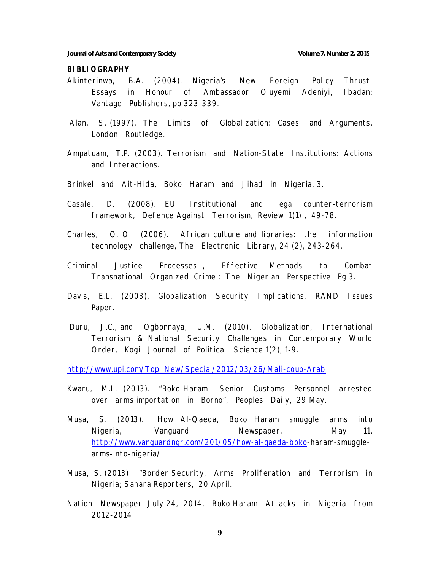#### **BIBLIOGRAPHY**

- Akinterinwa, B.A. (2004). Nigeria's New Foreign Policy Thrust: Essays in Honour of Ambassador Oluyemi Adeniyi, Ibadan: Vantage Publishers, pp 323-339.
- Alan, S. (1997). The Limits of Globalization: Cases and Arguments, London: Routledge.
- Ampatuam, T.P. (2003). Terrorism and Nation-State Institutions: Actions and Interactions.
- Brinkel and Ait-Hida, Boko Haram and Jihad in Nigeria, 3.
- Casale, D. (2008). EU Institutional and legal counter-terrorism framework, *Defence Against Terrorism, Review* 1(1) , 49-78.
- Charles, O. O (2006). African culture and libraries: the information technology challenge, *The Electronic Library*, 24 (2), 243-264.
- Criminal Justice Processes , Effective Methods to Combat Transnational Organized Crime : *The Nigerian Perspective*. Pg 3.
- Davis, E.L. (2003). Globalization Security Implications, *RAND Issues Paper.*
- Duru, J.C., and Ogbonnaya, U.M. (2010). Globalization, International Terrorism & National Security Challenges in Contemporary World Order, *Kogi Journal of Political Science* 1(2), 1-9.

http://www.upi.com/Top\_New/Special/2012/03/26/Mali-coup-Arab

- Kwaru, M.I. (2013). "Boko Haram: Senior Customs Personnel arrested over arms importation in Borno", *Peoples Daily*, 29 May.
- Musa, S. (2013). How Al-Qaeda, Boko Haram smuggle arms into Nigeria, *Vanguard Newspaper*, May 11, http://www.vanguardngr.com/201/05/how-al-qaeda-boko-haram-smugglearms-into-nigeria/
- Musa, S. (2013). "Border Security, Arms Proliferation and Terrorism in Nigeria; *Sahara Reporters*, 20 April.
- *Nation Newspaper* July 24, 2014, Boko Haram Attacks in Nigeria from 2012-2014.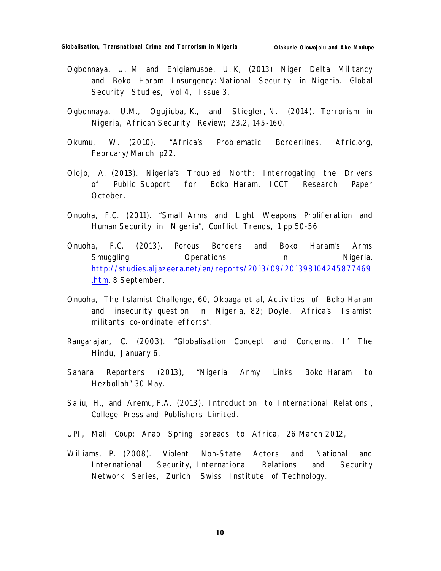- Ogbonnaya, U. M and Ehigiamusoe, U. K, (2013) Niger Delta Militancy and Boko Haram Insurgency: National Security in Nigeria. *Global Security Studies*, Vol 4, Issue 3.
- Ogbonnaya, U.M., Ogujiuba, K., and Stiegler, N. (2014). Terrorism in Nigeria, *African Security Review*; 23.2, 145-160.
- Okumu, W. (2010). "Africa's Problematic Borderlines, Afric.org, February/March p22.
- Olojo, A. (2013). Nigeria's Troubled North: Interrogating the Drivers of Public Support for Boko Haram*, ICCT Research Paper*  October.
- Onuoha, F.C. (2011). "Small Arms and Light Weapons Proliferation and Human Security in Nigeria", *Conflict Trends*, 1 pp 50-56.
- Onuoha, F.C. (2013). Porous Borders and Boko Haram's Arms Smuggling **Operations** in Nigeria. http://studies.aljazeera.net/en/reports/2013/09/201398104245877469 .htm. 8 September.
- Onuoha, The Islamist Challenge, 60, Okpaga et al, Activities of Boko Haram and insecurity question in Nigeria, 82; Doyle, Africa's Islamist militants co-ordinate efforts".
- Rangarajan, C. (2003). "Globalisation: Concept and Concerns, *I' The Hindu*, January 6.
- *Sahara Reporters* (2013), "Nigeria Army Links Boko Haram to Hezbollah" 30 May.
- Saliu, H., and Aremu, F.A. (2013). Introduction to International Relations , College Press and Publishers Limited.
- UPI, Mali Coup: Arab Spring spreads to Africa, 26 March 2012,
- Williams, P. (2008). Violent Non-State Actors and National and International Security, *International Relations and Security Network Series*, Zurich: Swiss Institute of Technology.